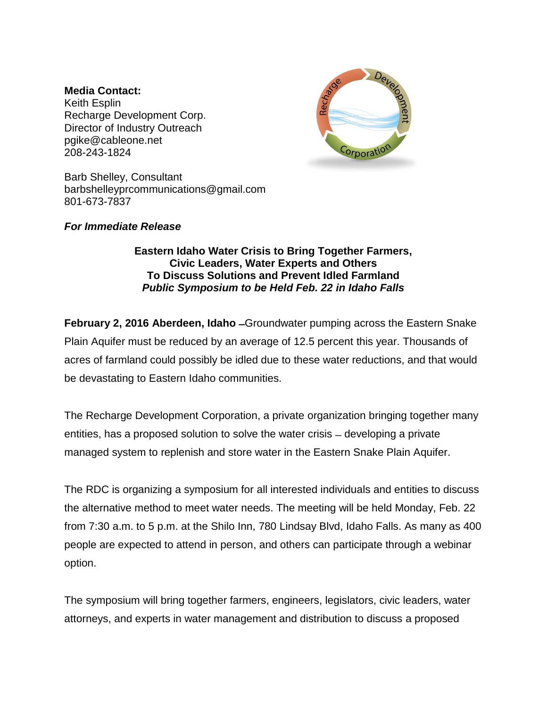### **Media Contact:**

Keith Esplin Recharge Development Corp. Director of Industry Outreach [pgike@cableone.net](mailto:pgike@cableone.net) 208-243-1824



Barb Shelley, Consultant [barbshelleyprcommunications@gmail.com](mailto:barbshelleyprcommunications@gmail.com) 801-673-7837

## *For Immediate Release*

# **Eastern Idaho Water Crisis to Bring Together Farmers, Civic Leaders, Water Experts and Others To Discuss Solutions and Prevent Idled Farmland** *Public Symposium to be Held Feb. 22 in Idaho Falls*

**February 2, 2016 Aberdeen, Idaho ̶**Groundwater pumping across the Eastern Snake Plain Aquifer must be reduced by an average of 12.5 percent this year. Thousands of acres of farmland could possibly be idled due to these water reductions, and that would be devastating to Eastern Idaho communities.

The Recharge Development Corporation, a private organization bringing together many entities, has a proposed solution to solve the water crisis – developing a private managed system to replenish and store water in the Eastern Snake Plain Aquifer.

The RDC is organizing a symposium for all interested individuals and entities to discuss the alternative method to meet water needs. The meeting will be held Monday, Feb. 22 from 7:30 a.m. to 5 p.m. at the Shilo Inn, 780 Lindsay Blvd, Idaho Falls. As many as 400 people are expected to attend in person, and others can participate through a webinar option.

The symposium will bring together farmers, engineers, legislators, civic leaders, water attorneys, and experts in water management and distribution to discuss a proposed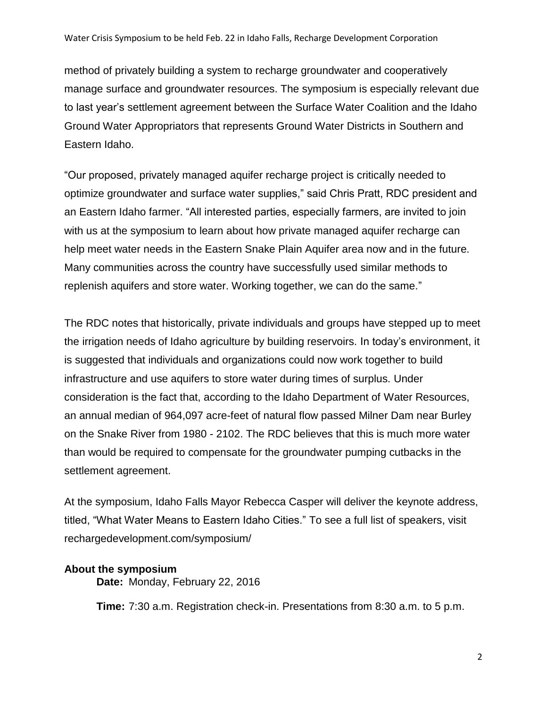method of privately building a system to recharge groundwater and cooperatively manage surface and groundwater resources. The symposium is especially relevant due to last year's settlement agreement between the Surface Water Coalition and the Idaho Ground Water Appropriators that represents Ground Water Districts in Southern and Eastern Idaho.

"Our proposed, privately managed aquifer recharge project is critically needed to optimize groundwater and surface water supplies," said Chris Pratt, RDC president and an Eastern Idaho farmer. "All interested parties, especially farmers, are invited to join with us at the symposium to learn about how private managed aquifer recharge can help meet water needs in the Eastern Snake Plain Aquifer area now and in the future. Many communities across the country have successfully used similar methods to replenish aquifers and store water. Working together, we can do the same."

The RDC notes that historically, private individuals and groups have stepped up to meet the irrigation needs of Idaho agriculture by building reservoirs. In today's environment, it is suggested that individuals and organizations could now work together to build infrastructure and use aquifers to store water during times of surplus. Under consideration is the fact that, according to the Idaho Department of Water Resources, an annual median of 964,097 acre-feet of natural flow passed Milner Dam near Burley on the Snake River from 1980 - 2102. The RDC believes that this is much more water than would be required to compensate for the groundwater pumping cutbacks in the settlement agreement.

At the symposium, Idaho Falls Mayor Rebecca Casper will deliver the keynote address, titled, "What Water Means to Eastern Idaho Cities." To see a full list of speakers, visit rechargedevelopment.com/symposium/

## **About the symposium**

**Date:** Monday, February 22, 2016

**Time:** 7:30 a.m. Registration check-in. Presentations from 8:30 a.m. to 5 p.m.